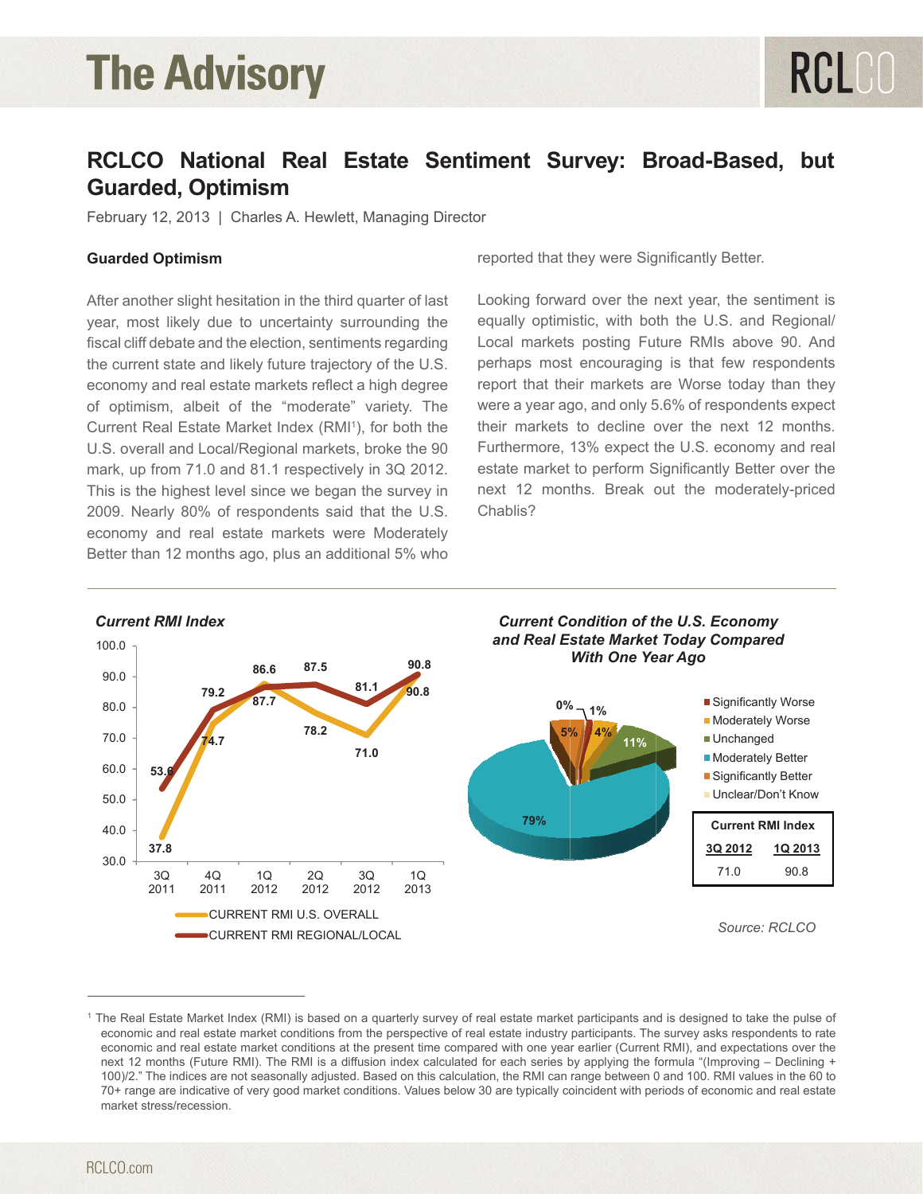# **The Advisory**

### **RCLCO National Real Estate Sentiment Survey: Broad-Based, but Guarded, Optimism**

February 12, 2013 | Charles A. Hewlett, Managing Director

#### **Guarded Optimism**

After another slight hesitation in the third quarter of last year, most likely due to uncertainty surrounding the fiscal cliff debate and the election, sentiments regarding the current state and likely future trajectory of the U.S. economy and real estate markets reflect a high degree of optimism, albeit of the "moderate" variety. The Current Real Estate Market Index (RMI<sup>1</sup>), for both the U.S. overall and Local/Regional markets, broke the 90 mark, up from 71.0 and 81.1 respectively in 3Q 2012. This is the highest level since we began the survey in 2009. Nearly 80% of respondents said that the U.S. economy and real estate markets were Moderately Better than 12 months ago, plus an additional 5% who

reported that they were Significantly Better.

Looking forward over the next year, the sentiment is equally optimistic, with both the U.S. and Regional/ Local markets posting Future RMIs above 90. And perhaps most encouraging is that few respondents report that their markets are Worse today than they were a year ago, and only 5.6% of respondents expect their markets to decline over the next 12 months. Furthermore, 13% expect the U.S. economy and real estate market to perform Significantly Better over the next 12 months. Break out the moderately-priced Chablis?



<sup>1</sup> The Real Estate Market Index (RMI) is based on a quarterly survey of real estate market participants and is designed to take the pulse of economic and real estate market conditions from the perspective of real estate industry participants. The survey asks respondents to rate economic and real estate market conditions at the present time compared with one year earlier (Current RMI), and expectations over the next 12 months (Future RMI). The RMI is a diffusion index calculated for each series by applying the formula "(Improving – Declining + 100)/2." The indices are not seasonally adjusted. Based on this calculation, the RMI can range between 0 and 100. RMI values in the 60 to 70+ range are indicative of very good market conditions. Values below 30 are typically coincident with periods of economic and real estate market stress/recession.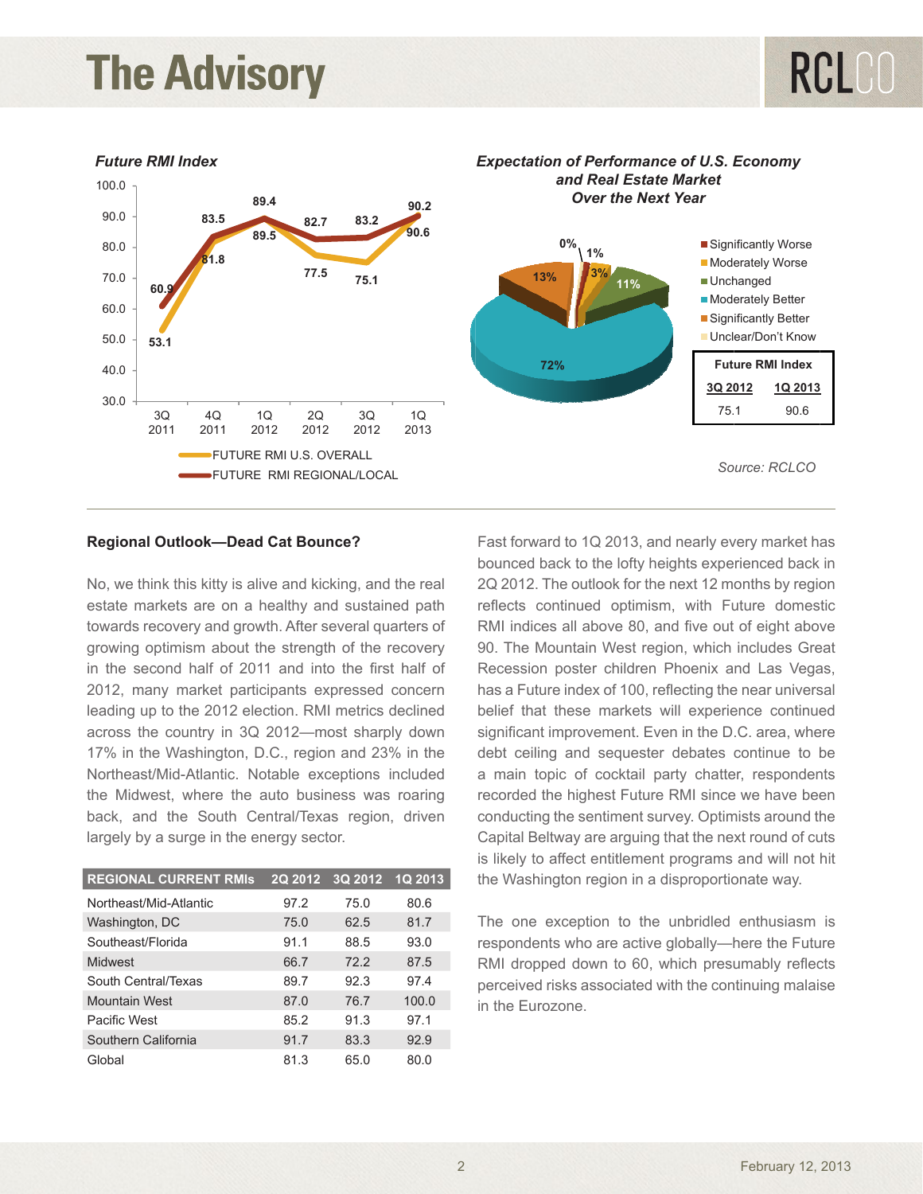## **The Advisory**



#### **Regional Outlook—Dead Cat Bounce?**

No, we think this kitty is alive and kicking, and the real estate markets are on a healthy and sustained path towards recovery and growth. After several quarters of growing optimism about the strength of the recovery in the second half of 2011 and into the first half of 2012, many market participants expressed concern leading up to the 2012 election. RMI metrics declined across the country in 3Q 2012—most sharply down 17% in the Washington, D.C., region and 23% in the Northeast/Mid-Atlantic. Notable exceptions included the Midwest, where the auto business was roaring back, and the South Central/Texas region, driven largely by a surge in the energy sector.

| <b>REGIONAL CURRENT RMIS</b> | <b>2Q 2012</b> | 3Q 2012 | <b>1Q 2013</b> |
|------------------------------|----------------|---------|----------------|
| Northeast/Mid-Atlantic       | 97.2           | 75.0    | 80.6           |
| Washington, DC               | 75.0           | 62.5    | 81.7           |
| Southeast/Florida            | 91.1           | 88.5    | 93.0           |
| Midwest                      | 66.7           | 72.2    | 87.5           |
| South Central/Texas          | 89.7           | 92.3    | 97.4           |
| <b>Mountain West</b>         | 87.0           | 76.7    | 100.0          |
| Pacific West                 | 85.2           | 91.3    | 97.1           |
| Southern California          | 91.7           | 83.3    | 92.9           |
| Global                       | 81.3           | 65.0    | 80.0           |

Fast forward to 1Q 2013, and nearly every market has bounced back to the lofty heights experienced back in 2Q 2012. The outlook for the next 12 months by region reflects continued optimism, with Future domestic RMI indices all above 80, and five out of eight above 90. The Mountain West region, which includes Great Recession poster children Phoenix and Las Vegas, has a Future index of 100, reflecting the near universal belief that these markets will experience continued significant improvement. Even in the D.C. area, where debt ceiling and sequester debates continue to be a main topic of cocktail party chatter, respondents recorded the highest Future RMI since we have been conducting the sentiment survey. Optimists around the Capital Beltway are arguing that the next round of cuts is likely to affect entitlement programs and will not hit the Washington region in a disproportionate way.

The one exception to the unbridled enthusiasm is respondents who are active globally—here the Future RMI dropped down to 60, which presumably reflects perceived risks associated with the continuing malaise in the Eurozone.